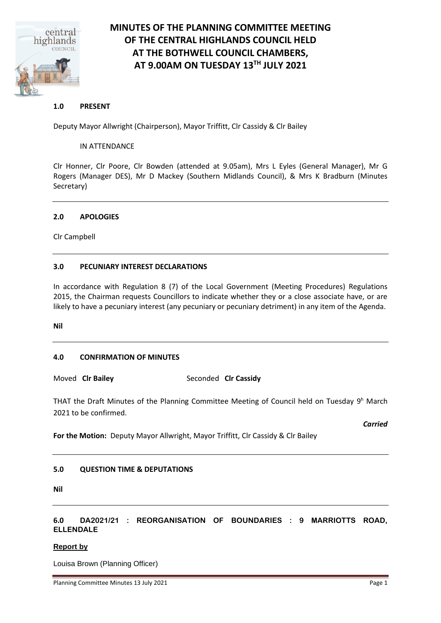

# **MINUTES OF THE PLANNING COMMITTEE MEETING OF THE CENTRAL HIGHLANDS COUNCIL HELD AT THE BOTHWELL COUNCIL CHAMBERS, AT 9.00AM ON TUESDAY 13TH JULY 2021**

# **1.0 PRESENT**

Deputy Mayor Allwright (Chairperson), Mayor Triffitt, Clr Cassidy & Clr Bailey

## IN ATTENDANCE

Clr Honner, Clr Poore, Clr Bowden (attended at 9.05am), Mrs L Eyles (General Manager), Mr G Rogers (Manager DES), Mr D Mackey (Southern Midlands Council), & Mrs K Bradburn (Minutes Secretary)

#### **2.0 APOLOGIES**

Clr Campbell

# **3.0 PECUNIARY INTEREST DECLARATIONS**

In accordance with Regulation 8 (7) of the Local Government (Meeting Procedures) Regulations 2015, the Chairman requests Councillors to indicate whether they or a close associate have, or are likely to have a pecuniary interest (any pecuniary or pecuniary detriment) in any item of the Agenda.

**Nil**

# **4.0 CONFIRMATION OF MINUTES**

Moved **Clr Bailey** Seconded **Clr Cassidy**

THAT the Draft Minutes of the Planning Committee Meeting of Council held on Tuesday 9<sup>h</sup> March 2021 to be confirmed.

*Carried*

**For the Motion:** Deputy Mayor Allwright, Mayor Triffitt, Clr Cassidy & Clr Bailey

# **5.0 QUESTION TIME & DEPUTATIONS**

**Nil**

# **6.0 DA2021/21 : REORGANISATION OF BOUNDARIES : 9 MARRIOTTS ROAD, ELLENDALE**

# **Report by**

Louisa Brown (Planning Officer)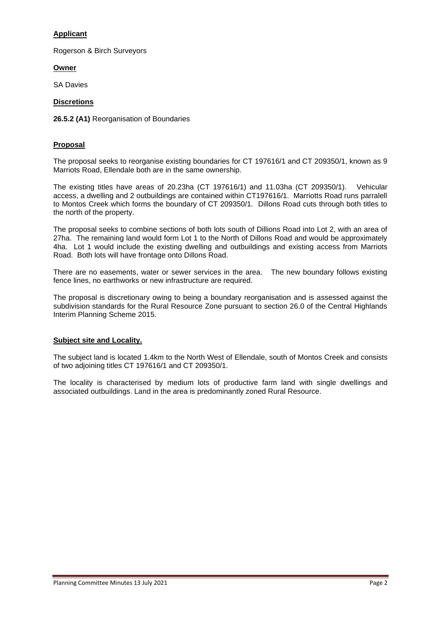# **Applicant**

Rogerson & Birch Surveyors

**Owner** 

SA Davies

## **Discretions**

**26.5.2 (A1)** Reorganisation of Boundaries

## **Proposal**

The proposal seeks to reorganise existing boundaries for CT 197616/1 and CT 209350/1, known as 9 Marriots Road, Ellendale both are in the same ownership.

The existing titles have areas of 20.23ha (CT 197616/1) and 11.03ha (CT 209350/1). Vehicular access, a dwelling and 2 outbuildings are contained within CT197616/1. Marriotts Road runs parralell to Montos Creek which forms the boundary of CT 209350/1. Dillons Road cuts through both titles to the north of the property.

The proposal seeks to combine sections of both lots south of Dillions Road into Lot 2, with an area of 27ha. The remaining land would form Lot 1 to the North of Dillons Road and would be approximately 4ha. Lot 1 would include the existing dwelling and outbuildings and existing access from Marriots Road. Both lots will have frontage onto Dillons Road.

There are no easements, water or sewer services in the area. The new boundary follows existing fence lines, no earthworks or new infrastructure are required.

The proposal is discretionary owing to being a boundary reorganisation and is assessed against the subdivision standards for the Rural Resource Zone pursuant to section 26.0 of the Central Highlands Interim Planning Scheme 2015.

# **Subject site and Locality.**

The subject land is located 1.4km to the North West of Ellendale, south of Montos Creek and consists of two adjoining titles CT 197616/1 and CT 209350/1.

The locality is characterised by medium lots of productive farm land with single dwellings and associated outbuildings. Land in the area is predominantly zoned Rural Resource.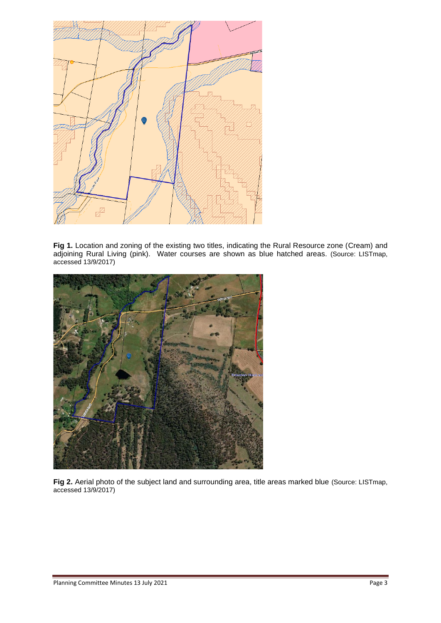

Fig 1. Location and zoning of the existing two titles, indicating the Rural Resource zone (Cream) and adjoining Rural Living (pink). Water courses are shown as blue hatched areas. (Source: LISTmap, accessed 13/9/2017)



Fig 2. Aerial photo of the subject land and surrounding area, title areas marked blue (Source: LISTmap, accessed 13/9/2017)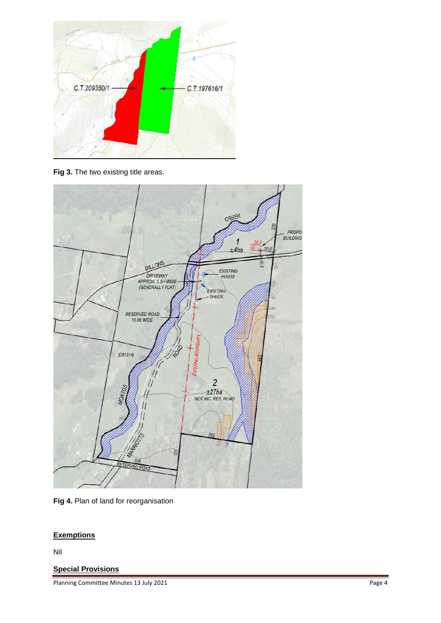

Fig 3. The two existing title areas.



**Fig 4.** Plan of land for reorganisation

# **Exemptions**

Nil

# **Special Provisions**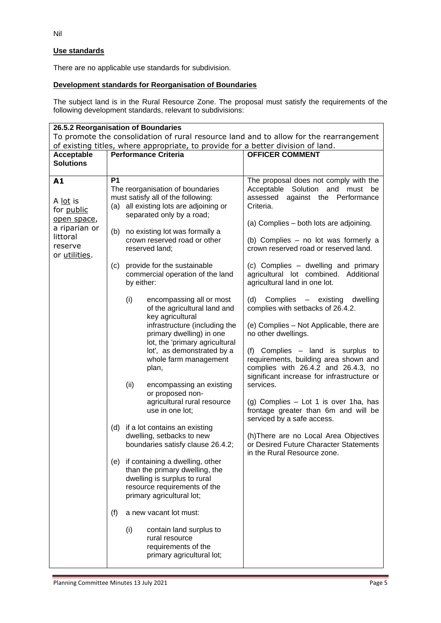# **Use standards**

There are no applicable use standards for subdivision.

# **Development standards for Reorganisation of Boundaries**

The subject land is in the Rural Resource Zone. The proposal must satisfy the requirements of the following development standards, relevant to subdivisions:

| 26.5.2 Reorganisation of Boundaries                                                                  |                                                                                  |                                                                                                   |                                                                                               |                                                                                                                                                                 |  |  |  |  |  |
|------------------------------------------------------------------------------------------------------|----------------------------------------------------------------------------------|---------------------------------------------------------------------------------------------------|-----------------------------------------------------------------------------------------------|-----------------------------------------------------------------------------------------------------------------------------------------------------------------|--|--|--|--|--|
| To promote the consolidation of rural resource land and to allow for the rearrangement               |                                                                                  |                                                                                                   |                                                                                               |                                                                                                                                                                 |  |  |  |  |  |
|                                                                                                      | of existing titles, where appropriate, to provide for a better division of land. |                                                                                                   |                                                                                               |                                                                                                                                                                 |  |  |  |  |  |
| Acceptable                                                                                           | <b>Performance Criteria</b>                                                      |                                                                                                   |                                                                                               | <b>OFFICER COMMENT</b>                                                                                                                                          |  |  |  |  |  |
| <b>Solutions</b>                                                                                     |                                                                                  |                                                                                                   |                                                                                               |                                                                                                                                                                 |  |  |  |  |  |
| A1<br>A lot is<br>for public<br>open space,<br>a riparian or<br>littoral<br>reserve<br>or utilities. | <b>P1</b>                                                                        |                                                                                                   | The reorganisation of boundaries<br>must satisfy all of the following:                        | The proposal does not comply with the<br>Acceptable Solution and must be<br>against the Performance<br>assessed                                                 |  |  |  |  |  |
|                                                                                                      |                                                                                  | (a) all existing lots are adjoining or<br>separated only by a road;                               |                                                                                               | Criteria.<br>(a) Complies - both lots are adjoining.                                                                                                            |  |  |  |  |  |
|                                                                                                      | (b)                                                                              |                                                                                                   | no existing lot was formally a<br>crown reserved road or other<br>reserved land;              | (b) Complies - no lot was formerly a<br>crown reserved road or reserved land.                                                                                   |  |  |  |  |  |
|                                                                                                      | (c)                                                                              | provide for the sustainable<br>commercial operation of the land<br>by either:                     |                                                                                               | (c) Complies - dwelling and primary<br>agricultural lot combined. Additional<br>agricultural land in one lot.                                                   |  |  |  |  |  |
|                                                                                                      |                                                                                  | (i)                                                                                               | encompassing all or most<br>of the agricultural land and<br>key agricultural                  | (d)<br>Complies - existing<br>dwelling<br>complies with setbacks of 26.4.2.                                                                                     |  |  |  |  |  |
|                                                                                                      |                                                                                  |                                                                                                   | infrastructure (including the<br>primary dwelling) in one<br>lot, the 'primary agricultural   | (e) Complies - Not Applicable, there are<br>no other dwellings.                                                                                                 |  |  |  |  |  |
|                                                                                                      |                                                                                  |                                                                                                   | lot', as demonstrated by a<br>whole farm management<br>plan,                                  | (f) Complies - land is surplus to<br>requirements, building area shown and<br>complies with 26.4.2 and 26.4.3, no<br>significant increase for infrastructure or |  |  |  |  |  |
|                                                                                                      |                                                                                  | (ii)                                                                                              | encompassing an existing<br>or proposed non-                                                  | services.                                                                                                                                                       |  |  |  |  |  |
|                                                                                                      |                                                                                  |                                                                                                   | agricultural rural resource<br>use in one lot;                                                | (g) Complies - Lot 1 is over 1ha, has<br>frontage greater than 6m and will be<br>serviced by a safe access.                                                     |  |  |  |  |  |
|                                                                                                      | (d)                                                                              | if a lot contains an existing                                                                     |                                                                                               |                                                                                                                                                                 |  |  |  |  |  |
|                                                                                                      |                                                                                  | dwelling, setbacks to new<br>boundaries satisfy clause 26.4.2;                                    |                                                                                               | (h) There are no Local Area Objectives<br>or Desired Future Character Statements<br>in the Rural Resource zone.                                                 |  |  |  |  |  |
|                                                                                                      | (e)                                                                              | if containing a dwelling, other<br>than the primary dwelling, the<br>dwelling is surplus to rural |                                                                                               |                                                                                                                                                                 |  |  |  |  |  |
|                                                                                                      |                                                                                  | resource requirements of the<br>primary agricultural lot;                                         |                                                                                               |                                                                                                                                                                 |  |  |  |  |  |
|                                                                                                      | (f)                                                                              | a new vacant lot must:                                                                            |                                                                                               |                                                                                                                                                                 |  |  |  |  |  |
|                                                                                                      |                                                                                  | (i)                                                                                               | contain land surplus to<br>rural resource<br>requirements of the<br>primary agricultural lot; |                                                                                                                                                                 |  |  |  |  |  |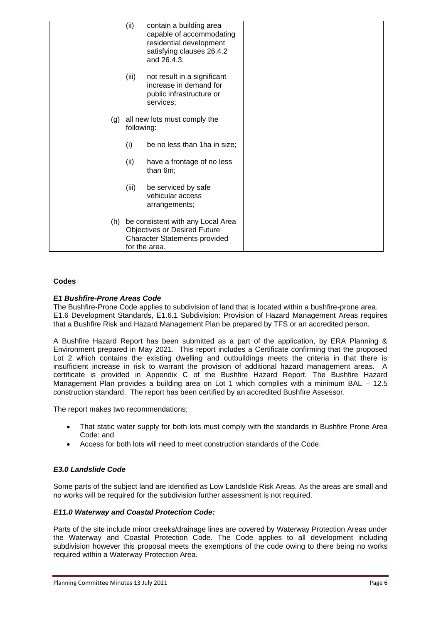|     | (ii)                                                                                                                       | contain a building area<br>capable of accommodating<br>residential development<br>satisfying clauses 26.4.2<br>and 26.4.3. |  |
|-----|----------------------------------------------------------------------------------------------------------------------------|----------------------------------------------------------------------------------------------------------------------------|--|
|     | (iii)                                                                                                                      | not result in a significant<br>increase in demand for<br>public infrastructure or<br>services;                             |  |
| (g) | all new lots must comply the<br>following:                                                                                 |                                                                                                                            |  |
|     | (i)                                                                                                                        | be no less than 1ha in size;                                                                                               |  |
|     | (ii)                                                                                                                       | have a frontage of no less<br>than 6m;                                                                                     |  |
|     | (iii)                                                                                                                      | be serviced by safe<br>vehicular access<br>arrangements;                                                                   |  |
| (h) | be consistent with any Local Area<br>Objectives or Desired Future<br><b>Character Statements provided</b><br>for the area. |                                                                                                                            |  |

# **Codes**

#### *E1 Bushfire-Prone Areas Code*

The Bushfire-Prone Code applies to subdivision of land that is located within a bushfire-prone area. E1.6 Development Standards, E1.6.1 Subdivision: Provision of Hazard Management Areas requires that a Bushfire Risk and Hazard Management Plan be prepared by TFS or an accredited person.

A Bushfire Hazard Report has been submitted as a part of the application, by ERA Planning & Environment prepared in May 2021. This report includes a Certificate confirming that the proposed Lot 2 which contains the existing dwelling and outbuildings meets the criteria in that there is insufficient increase in risk to warrant the provision of additional hazard management areas. A certificate is provided in Appendix C of the Bushfire Hazard Report. The Bushfire Hazard Management Plan provides a building area on Lot 1 which complies with a minimum BAL – 12.5 construction standard. The report has been certified by an accredited Bushfire Assessor.

The report makes two recommendations;

- That static water supply for both lots must comply with the standards in Bushfire Prone Area Code: and
- Access for both lots will need to meet construction standards of the Code.

# *E3.0 Landslide Code*

Some parts of the subject land are identified as Low Landslide Risk Areas. As the areas are small and no works will be required for the subdivision further assessment is not required.

#### *E11.0 Waterway and Coastal Protection Code:*

Parts of the site include minor creeks/drainage lines are covered by Waterway Protection Areas under the Waterway and Coastal Protection Code. The Code applies to all development including subdivision however this proposal meets the exemptions of the code owing to there being no works required within a Waterway Protection Area.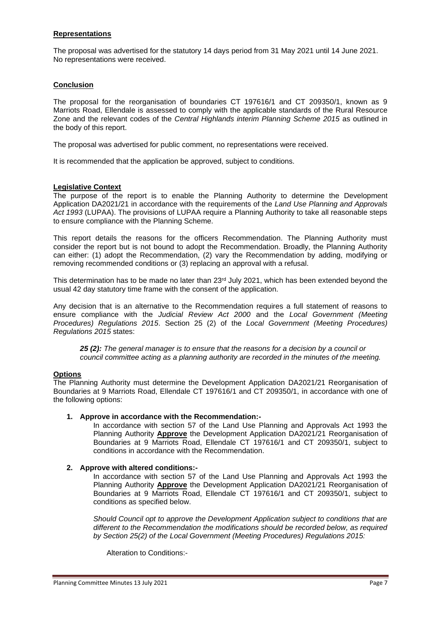# **Representations**

The proposal was advertised for the statutory 14 days period from 31 May 2021 until 14 June 2021. No representations were received.

#### **Conclusion**

The proposal for the reorganisation of boundaries CT 197616/1 and CT 209350/1, known as 9 Marriots Road, Ellendale is assessed to comply with the applicable standards of the Rural Resource Zone and the relevant codes of the *Central Highlands interim Planning Scheme 2015* as outlined in the body of this report.

The proposal was advertised for public comment, no representations were received.

It is recommended that the application be approved, subject to conditions.

#### **Legislative Context**

The purpose of the report is to enable the Planning Authority to determine the Development Application DA2021/21 in accordance with the requirements of the *Land Use Planning and Approvals Act 1993* (LUPAA). The provisions of LUPAA require a Planning Authority to take all reasonable steps to ensure compliance with the Planning Scheme.

This report details the reasons for the officers Recommendation. The Planning Authority must consider the report but is not bound to adopt the Recommendation. Broadly, the Planning Authority can either: (1) adopt the Recommendation, (2) vary the Recommendation by adding, modifying or removing recommended conditions or (3) replacing an approval with a refusal.

This determination has to be made no later than 23rd July 2021, which has been extended beyond the usual 42 day statutory time frame with the consent of the application.

Any decision that is an alternative to the Recommendation requires a full statement of reasons to ensure compliance with the *Judicial Review Act 2000* and the *Local Government (Meeting Procedures) Regulations 2015*. Section 25 (2) of the *Local Government (Meeting Procedures) Regulations 2015* states:

*25 (2): The general manager is to ensure that the reasons for a decision by a council or council committee acting as a planning authority are recorded in the minutes of the meeting.*

## **Options**

The Planning Authority must determine the Development Application DA2021/21 Reorganisation of Boundaries at 9 Marriots Road, Ellendale CT 197616/1 and CT 209350/1, in accordance with one of the following options:

#### **1. Approve in accordance with the Recommendation:-**

In accordance with section 57 of the Land Use Planning and Approvals Act 1993 the Planning Authority **Approve** the Development Application DA2021/21 Reorganisation of Boundaries at 9 Marriots Road, Ellendale CT 197616/1 and CT 209350/1, subject to conditions in accordance with the Recommendation.

#### **2. Approve with altered conditions:-**

In accordance with section 57 of the Land Use Planning and Approvals Act 1993 the Planning Authority **Approve** the Development Application DA2021/21 Reorganisation of Boundaries at 9 Marriots Road, Ellendale CT 197616/1 and CT 209350/1, subject to conditions as specified below.

*Should Council opt to approve the Development Application subject to conditions that are different to the Recommendation the modifications should be recorded below, as required by Section 25(2) of the Local Government (Meeting Procedures) Regulations 2015:*

Alteration to Conditions:-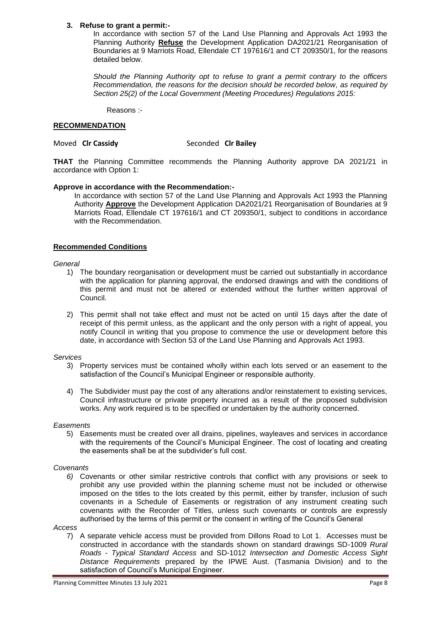#### **3. Refuse to grant a permit:-**

In accordance with section 57 of the Land Use Planning and Approvals Act 1993 the Planning Authority **Refuse** the Development Application DA2021/21 Reorganisation of Boundaries at 9 Marriots Road, Ellendale CT 197616/1 and CT 209350/1, for the reasons detailed below.

*Should the Planning Authority opt to refuse to grant a permit contrary to the officers Recommendation, the reasons for the decision should be recorded below, as required by Section 25(2) of the Local Government (Meeting Procedures) Regulations 2015:*

Reasons :-

## **RECOMMENDATION**

#### **Moved CIr Cassidy** Seconded CIr Bailey

**THAT** the Planning Committee recommends the Planning Authority approve DA 2021/21 in accordance with Option 1:

#### **Approve in accordance with the Recommendation:-**

In accordance with section 57 of the Land Use Planning and Approvals Act 1993 the Planning Authority **Approve** the Development Application DA2021/21 Reorganisation of Boundaries at 9 Marriots Road, Ellendale CT 197616/1 and CT 209350/1, subject to conditions in accordance with the Recommendation.

## **Recommended Conditions**

#### *General*

- 1) The boundary reorganisation or development must be carried out substantially in accordance with the application for planning approval, the endorsed drawings and with the conditions of this permit and must not be altered or extended without the further written approval of Council.
- 2) This permit shall not take effect and must not be acted on until 15 days after the date of receipt of this permit unless, as the applicant and the only person with a right of appeal, you notify Council in writing that you propose to commence the use or development before this date, in accordance with Section 53 of the Land Use Planning and Approvals Act 1993.

#### *Services*

- 3) Property services must be contained wholly within each lots served or an easement to the satisfaction of the Council's Municipal Engineer or responsible authority.
- 4) The Subdivider must pay the cost of any alterations and/or reinstatement to existing services, Council infrastructure or private property incurred as a result of the proposed subdivision works. Any work required is to be specified or undertaken by the authority concerned.

#### *Easements*

5) Easements must be created over all drains, pipelines, wayleaves and services in accordance with the requirements of the Council's Municipal Engineer. The cost of locating and creating the easements shall be at the subdivider's full cost.

#### *Covenants*

*6)* Covenants or other similar restrictive controls that conflict with any provisions or seek to prohibit any use provided within the planning scheme must not be included or otherwise imposed on the titles to the lots created by this permit, either by transfer, inclusion of such covenants in a Schedule of Easements or registration of any instrument creating such covenants with the Recorder of Titles, unless such covenants or controls are expressly authorised by the terms of this permit or the consent in writing of the Council's General

#### *Access*

7) A separate vehicle access must be provided from Dillons Road to Lot 1. Accesses must be constructed in accordance with the standards shown on standard drawings SD-1009 *Rural Roads - Typical Standard Access* and SD-1012 *Intersection and Domestic Access Sight Distance Requirements* prepared by the IPWE Aust. (Tasmania Division) and to the satisfaction of Council's Municipal Engineer.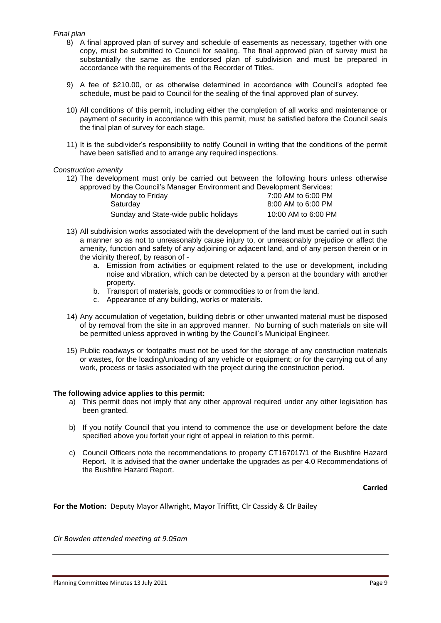#### *Final plan*

- 8) A final approved plan of survey and schedule of easements as necessary, together with one copy, must be submitted to Council for sealing. The final approved plan of survey must be substantially the same as the endorsed plan of subdivision and must be prepared in accordance with the requirements of the Recorder of Titles.
- 9) A fee of \$210.00, or as otherwise determined in accordance with Council's adopted fee schedule, must be paid to Council for the sealing of the final approved plan of survey.
- 10) All conditions of this permit, including either the completion of all works and maintenance or payment of security in accordance with this permit, must be satisfied before the Council seals the final plan of survey for each stage.
- 11) It is the subdivider's responsibility to notify Council in writing that the conditions of the permit have been satisfied and to arrange any required inspections.

#### *Construction amenity*

12) The development must only be carried out between the following hours unless otherwise approved by the Council's Manager Environment and Development Services:

| Monday to Friday                      | 7:00 AM to 6:00 PM  |
|---------------------------------------|---------------------|
| Saturday                              | 8:00 AM to 6:00 PM  |
| Sunday and State-wide public holidays | 10:00 AM to 6:00 PM |

- 13) All subdivision works associated with the development of the land must be carried out in such a manner so as not to unreasonably cause injury to, or unreasonably prejudice or affect the amenity, function and safety of any adjoining or adjacent land, and of any person therein or in the vicinity thereof, by reason of
	- a. Emission from activities or equipment related to the use or development, including noise and vibration, which can be detected by a person at the boundary with another property.
	- b. Transport of materials, goods or commodities to or from the land.
	- c. Appearance of any building, works or materials.
- 14) Any accumulation of vegetation, building debris or other unwanted material must be disposed of by removal from the site in an approved manner. No burning of such materials on site will be permitted unless approved in writing by the Council's Municipal Engineer.
- 15) Public roadways or footpaths must not be used for the storage of any construction materials or wastes, for the loading/unloading of any vehicle or equipment; or for the carrying out of any work, process or tasks associated with the project during the construction period.

#### **The following advice applies to this permit:**

- a) This permit does not imply that any other approval required under any other legislation has been granted.
- b) If you notify Council that you intend to commence the use or development before the date specified above you forfeit your right of appeal in relation to this permit.
- c) Council Officers note the recommendations to property CT167017/1 of the Bushfire Hazard Report. It is advised that the owner undertake the upgrades as per 4.0 Recommendations of the Bushfire Hazard Report.

**Carried**

**For the Motion:** Deputy Mayor Allwright, Mayor Triffitt, Clr Cassidy & Clr Bailey

*Clr Bowden attended meeting at 9.05am*

Planning Committee Minutes 13 July 2021 **Page 9** and Committee Minutes 13 July 2021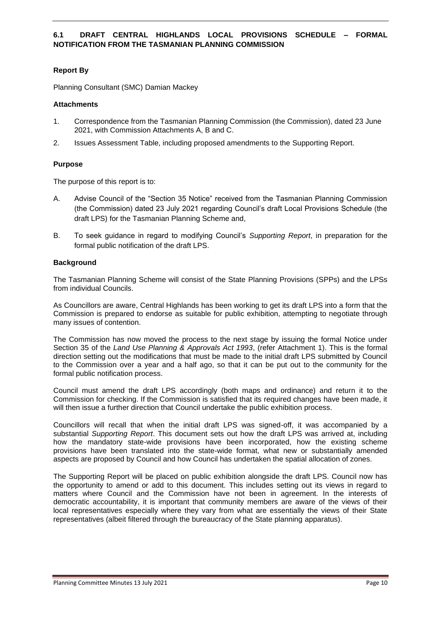# **6.1 DRAFT CENTRAL HIGHLANDS LOCAL PROVISIONS SCHEDULE – FORMAL NOTIFICATION FROM THE TASMANIAN PLANNING COMMISSION**

# **Report By**

Planning Consultant (SMC) Damian Mackey

#### **Attachments**

- 1. Correspondence from the Tasmanian Planning Commission (the Commission), dated 23 June 2021, with Commission Attachments A, B and C.
- 2. Issues Assessment Table, including proposed amendments to the Supporting Report.

# **Purpose**

The purpose of this report is to:

- A. Advise Council of the "Section 35 Notice" received from the Tasmanian Planning Commission (the Commission) dated 23 July 2021 regarding Council's draft Local Provisions Schedule (the draft LPS) for the Tasmanian Planning Scheme and,
- B. To seek guidance in regard to modifying Council's *Supporting Report*, in preparation for the formal public notification of the draft LPS.

#### **Background**

The Tasmanian Planning Scheme will consist of the State Planning Provisions (SPPs) and the LPSs from individual Councils.

As Councillors are aware, Central Highlands has been working to get its draft LPS into a form that the Commission is prepared to endorse as suitable for public exhibition, attempting to negotiate through many issues of contention.

The Commission has now moved the process to the next stage by issuing the formal Notice under Section 35 of the *Land Use Planning & Approvals Act 1993*, (refer Attachment 1). This is the formal direction setting out the modifications that must be made to the initial draft LPS submitted by Council to the Commission over a year and a half ago, so that it can be put out to the community for the formal public notification process.

Council must amend the draft LPS accordingly (both maps and ordinance) and return it to the Commission for checking. If the Commission is satisfied that its required changes have been made, it will then issue a further direction that Council undertake the public exhibition process.

Councillors will recall that when the initial draft LPS was signed-off, it was accompanied by a substantial *Supporting Report*. This document sets out how the draft LPS was arrived at, including how the mandatory state-wide provisions have been incorporated, how the existing scheme provisions have been translated into the state-wide format, what new or substantially amended aspects are proposed by Council and how Council has undertaken the spatial allocation of zones.

The Supporting Report will be placed on public exhibition alongside the draft LPS. Council now has the opportunity to amend or add to this document. This includes setting out its views in regard to matters where Council and the Commission have not been in agreement. In the interests of democratic accountability, it is important that community members are aware of the views of their local representatives especially where they vary from what are essentially the views of their State representatives (albeit filtered through the bureaucracy of the State planning apparatus).